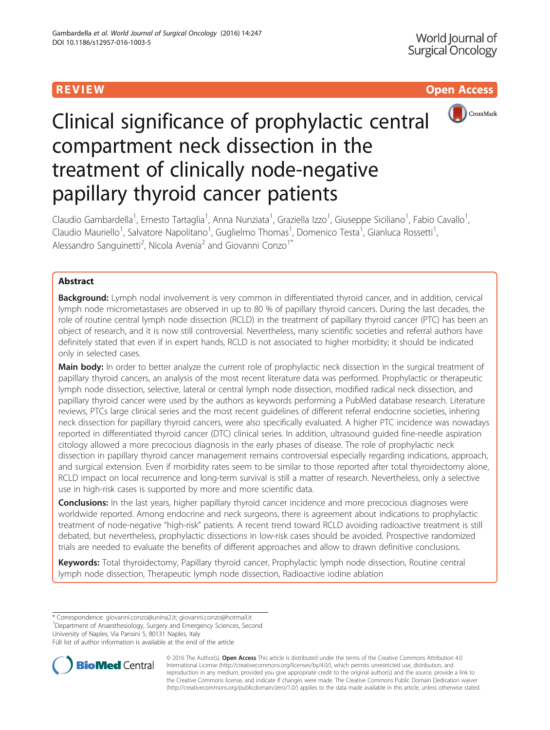# R EVI EW Open Access



# Clinical significance of prophylactic central compartment neck dissection in the treatment of clinically node-negative papillary thyroid cancer patients

Claudio Gambardella<sup>1</sup>, Ernesto Tartaglia<sup>1</sup>, Anna Nunziata<sup>1</sup>, Graziella Izzo<sup>1</sup>, Giuseppe Siciliano<sup>1</sup>, Fabio Cavallo<sup>1</sup> , Claudio Mauriello<sup>1</sup>, Salvatore Napolitano<sup>1</sup>, Guglielmo Thomas<sup>1</sup>, Domenico Testa<sup>1</sup>, Gianluca Rossetti<sup>1</sup> , Alessandro Sanguinetti<sup>2</sup>, Nicola Avenia<sup>2</sup> and Giovanni Conzo<sup>1\*</sup>

# Abstract

Background: Lymph nodal involvement is very common in differentiated thyroid cancer, and in addition, cervical lymph node micrometastases are observed in up to 80 % of papillary thyroid cancers. During the last decades, the role of routine central lymph node dissection (RCLD) in the treatment of papillary thyroid cancer (PTC) has been an object of research, and it is now still controversial. Nevertheless, many scientific societies and referral authors have definitely stated that even if in expert hands, RCLD is not associated to higher morbidity; it should be indicated only in selected cases.

Main body: In order to better analyze the current role of prophylactic neck dissection in the surgical treatment of papillary thyroid cancers, an analysis of the most recent literature data was performed. Prophylactic or therapeutic lymph node dissection, selective, lateral or central lymph node dissection, modified radical neck dissection, and papillary thyroid cancer were used by the authors as keywords performing a PubMed database research. Literature reviews, PTCs large clinical series and the most recent guidelines of different referral endocrine societies, inhering neck dissection for papillary thyroid cancers, were also specifically evaluated. A higher PTC incidence was nowadays reported in differentiated thyroid cancer (DTC) clinical series. In addition, ultrasound guided fine-needle aspiration citology allowed a more precocious diagnosis in the early phases of disease. The role of prophylactic neck dissection in papillary thyroid cancer management remains controversial especially regarding indications, approach, and surgical extension. Even if morbidity rates seem to be similar to those reported after total thyroidectomy alone, RCLD impact on local recurrence and long-term survival is still a matter of research. Nevertheless, only a selective use in high-risk cases is supported by more and more scientific data.

**Conclusions:** In the last years, higher papillary thyroid cancer incidence and more precocious diagnoses were worldwide reported. Among endocrine and neck surgeons, there is agreement about indications to prophylactic treatment of node-negative "high-risk" patients. A recent trend toward RCLD avoiding radioactive treatment is still debated, but nevertheless, prophylactic dissections in low-risk cases should be avoided. Prospective randomized trials are needed to evaluate the benefits of different approaches and allow to drawn definitive conclusions.

Keywords: Total thyroidectomy, Papillary thyroid cancer, Prophylactic lymph node dissection, Routine central lymph node dissection, Therapeutic lymph node dissection, Radioactive iodine ablation

\* Correspondence: [giovanni.conzo@unina2.it;](mailto:giovanni.conzo@unina2.it) [giovanni.conzo@hotmail.it](mailto:giovanni.conzo@hotmail.it) <sup>1</sup>

<sup>1</sup>Department of Anaesthesiology, Surgery and Emergency Sciences, Second

University of Naples, Via Pansini 5, 80131 Naples, Italy

Full list of author information is available at the end of the article



© 2016 The Author(s). Open Access This article is distributed under the terms of the Creative Commons Attribution 4.0 International License [\(http://creativecommons.org/licenses/by/4.0/](http://creativecommons.org/licenses/by/4.0/)), which permits unrestricted use, distribution, and reproduction in any medium, provided you give appropriate credit to the original author(s) and the source, provide a link to the Creative Commons license, and indicate if changes were made. The Creative Commons Public Domain Dedication waiver [\(http://creativecommons.org/publicdomain/zero/1.0/](http://creativecommons.org/publicdomain/zero/1.0/)) applies to the data made available in this article, unless otherwise stated.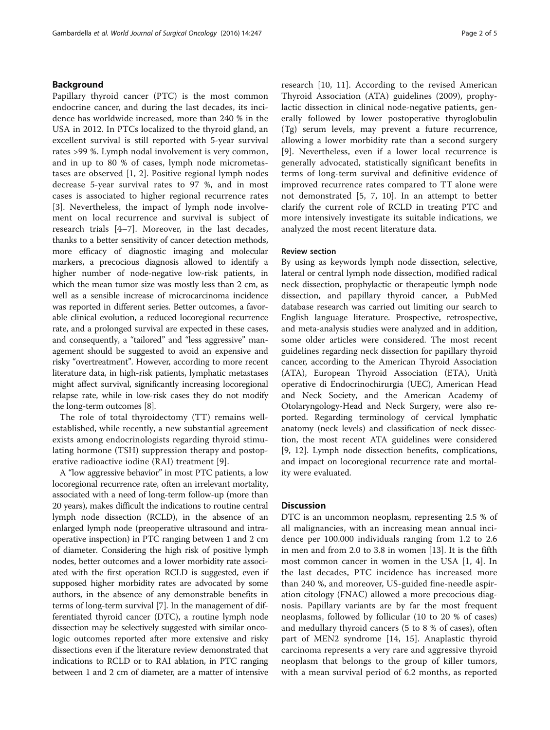## Background

Papillary thyroid cancer (PTC) is the most common endocrine cancer, and during the last decades, its incidence has worldwide increased, more than 240 % in the USA in 2012. In PTCs localized to the thyroid gland, an excellent survival is still reported with 5-year survival rates >99 %. Lymph nodal involvement is very common, and in up to 80 % of cases, lymph node micrometastases are observed [[1, 2\]](#page-3-0). Positive regional lymph nodes decrease 5-year survival rates to 97 %, and in most cases is associated to higher regional recurrence rates [[3\]](#page-3-0). Nevertheless, the impact of lymph node involvement on local recurrence and survival is subject of research trials [[4](#page-3-0)–[7](#page-3-0)]. Moreover, in the last decades, thanks to a better sensitivity of cancer detection methods, more efficacy of diagnostic imaging and molecular markers, a precocious diagnosis allowed to identify a higher number of node-negative low-risk patients, in which the mean tumor size was mostly less than 2 cm, as well as a sensible increase of microcarcinoma incidence was reported in different series. Better outcomes, a favorable clinical evolution, a reduced locoregional recurrence rate, and a prolonged survival are expected in these cases, and consequently, a "tailored" and "less aggressive" management should be suggested to avoid an expensive and risky "overtreatment". However, according to more recent literature data, in high-risk patients, lymphatic metastases might affect survival, significantly increasing locoregional relapse rate, while in low-risk cases they do not modify the long-term outcomes [\[8\]](#page-3-0).

The role of total thyroidectomy (TT) remains wellestablished, while recently, a new substantial agreement exists among endocrinologists regarding thyroid stimulating hormone (TSH) suppression therapy and postoperative radioactive iodine (RAI) treatment [[9\]](#page-3-0).

A "low aggressive behavior" in most PTC patients, a low locoregional recurrence rate, often an irrelevant mortality, associated with a need of long-term follow-up (more than 20 years), makes difficult the indications to routine central lymph node dissection (RCLD), in the absence of an enlarged lymph node (preoperative ultrasound and intraoperative inspection) in PTC ranging between 1 and 2 cm of diameter. Considering the high risk of positive lymph nodes, better outcomes and a lower morbidity rate associated with the first operation RCLD is suggested, even if supposed higher morbidity rates are advocated by some authors, in the absence of any demonstrable benefits in terms of long-term survival [\[7](#page-3-0)]. In the management of differentiated thyroid cancer (DTC), a routine lymph node dissection may be selectively suggested with similar oncologic outcomes reported after more extensive and risky dissections even if the literature review demonstrated that indications to RCLD or to RAI ablation, in PTC ranging between 1 and 2 cm of diameter, are a matter of intensive

research [[10, 11\]](#page-3-0). According to the revised American Thyroid Association (ATA) guidelines (2009), prophylactic dissection in clinical node-negative patients, generally followed by lower postoperative thyroglobulin (Tg) serum levels, may prevent a future recurrence, allowing a lower morbidity rate than a second surgery [[9\]](#page-3-0). Nevertheless, even if a lower local recurrence is generally advocated, statistically significant benefits in terms of long-term survival and definitive evidence of improved recurrence rates compared to TT alone were not demonstrated [\[5](#page-3-0), [7, 10\]](#page-3-0). In an attempt to better clarify the current role of RCLD in treating PTC and more intensively investigate its suitable indications, we analyzed the most recent literature data.

### Review section

By using as keywords lymph node dissection, selective, lateral or central lymph node dissection, modified radical neck dissection, prophylactic or therapeutic lymph node dissection, and papillary thyroid cancer, a PubMed database research was carried out limiting our search to English language literature. Prospective, retrospective, and meta-analysis studies were analyzed and in addition, some older articles were considered. The most recent guidelines regarding neck dissection for papillary thyroid cancer, according to the American Thyroid Association (ATA), European Thyroid Association (ETA), Unità operative di Endocrinochirurgia (UEC), American Head and Neck Society, and the American Academy of Otolaryngology-Head and Neck Surgery, were also reported. Regarding terminology of cervical lymphatic anatomy (neck levels) and classification of neck dissection, the most recent ATA guidelines were considered [[9, 12](#page-3-0)]. Lymph node dissection benefits, complications, and impact on locoregional recurrence rate and mortality were evaluated.

### **Discussion**

DTC is an uncommon neoplasm, representing 2.5 % of all malignancies, with an increasing mean annual incidence per 100.000 individuals ranging from 1.2 to 2.6 in men and from 2.0 to 3.8 in women [[13\]](#page-3-0). It is the fifth most common cancer in women in the USA [[1](#page-3-0), [4](#page-3-0)]. In the last decades, PTC incidence has increased more than 240 %, and moreover, US-guided fine-needle aspiration citology (FNAC) allowed a more precocious diagnosis. Papillary variants are by far the most frequent neoplasms, followed by follicular (10 to 20 % of cases) and medullary thyroid cancers (5 to 8 % of cases), often part of MEN2 syndrome [[14, 15](#page-3-0)]. Anaplastic thyroid carcinoma represents a very rare and aggressive thyroid neoplasm that belongs to the group of killer tumors, with a mean survival period of 6.2 months, as reported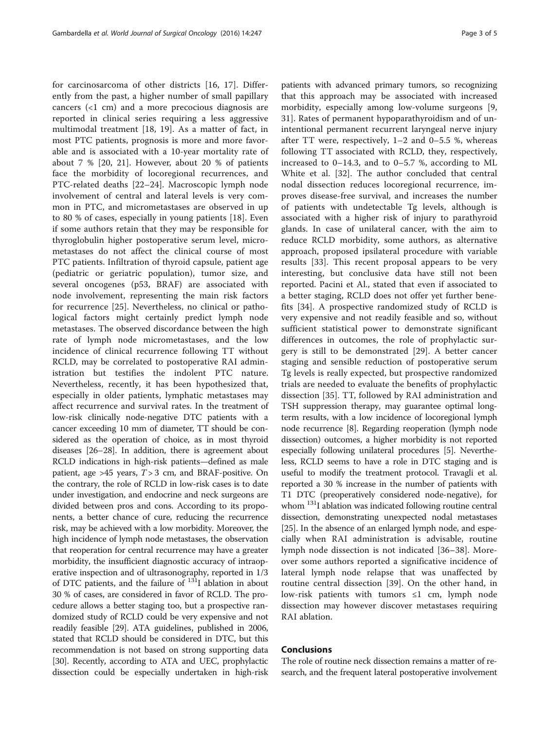for carcinosarcoma of other districts [\[16](#page-3-0), [17\]](#page-3-0). Differently from the past, a higher number of small papillary cancers (<1 cm) and a more precocious diagnosis are reported in clinical series requiring a less aggressive multimodal treatment [[18](#page-3-0), [19\]](#page-3-0). As a matter of fact, in most PTC patients, prognosis is more and more favorable and is associated with a 10-year mortality rate of about 7 % [[20, 21\]](#page-3-0). However, about 20 % of patients face the morbidity of locoregional recurrences, and PTC-related deaths [\[22](#page-3-0)–[24](#page-3-0)]. Macroscopic lymph node involvement of central and lateral levels is very common in PTC, and micrometastases are observed in up to 80 % of cases, especially in young patients [[18\]](#page-3-0). Even if some authors retain that they may be responsible for thyroglobulin higher postoperative serum level, micrometastases do not affect the clinical course of most PTC patients. Infiltration of thyroid capsule, patient age (pediatric or geriatric population), tumor size, and several oncogenes (p53, BRAF) are associated with node involvement, representing the main risk factors for recurrence [\[25](#page-3-0)]. Nevertheless, no clinical or pathological factors might certainly predict lymph node metastases. The observed discordance between the high rate of lymph node micrometastases, and the low incidence of clinical recurrence following TT without RCLD, may be correlated to postoperative RAI administration but testifies the indolent PTC nature. Nevertheless, recently, it has been hypothesized that, especially in older patients, lymphatic metastases may affect recurrence and survival rates. In the treatment of low-risk clinically node-negative DTC patients with a cancer exceeding 10 mm of diameter, TT should be considered as the operation of choice, as in most thyroid diseases [\[26](#page-3-0)–[28](#page-3-0)]. In addition, there is agreement about RCLD indications in high-risk patients—defined as male patient, age >45 years,  $T > 3$  cm, and BRAF-positive. On the contrary, the role of RCLD in low-risk cases is to date under investigation, and endocrine and neck surgeons are divided between pros and cons. According to its proponents, a better chance of cure, reducing the recurrence risk, may be achieved with a low morbidity. Moreover, the high incidence of lymph node metastases, the observation that reoperation for central recurrence may have a greater morbidity, the insufficient diagnostic accuracy of intraoperative inspection and of ultrasonography, reported in 1/3 of DTC patients, and the failure of 131I ablation in about 30 % of cases, are considered in favor of RCLD. The procedure allows a better staging too, but a prospective randomized study of RCLD could be very expensive and not readily feasible [[29](#page-3-0)]. ATA guidelines, published in 2006, stated that RCLD should be considered in DTC, but this recommendation is not based on strong supporting data [[30](#page-4-0)]. Recently, according to ATA and UEC, prophylactic dissection could be especially undertaken in high-risk

patients with advanced primary tumors, so recognizing that this approach may be associated with increased morbidity, especially among low-volume surgeons [\[9](#page-3-0), [31\]](#page-4-0). Rates of permanent hypoparathyroidism and of unintentional permanent recurrent laryngeal nerve injury after TT were, respectively, 1–2 and 0–5.5 %, whereas following TT associated with RCLD, they, respectively, increased to 0–14.3, and to 0–5.7 %, according to ML White et al. [[32](#page-4-0)]. The author concluded that central nodal dissection reduces locoregional recurrence, improves disease-free survival, and increases the number of patients with undetectable Tg levels, although is associated with a higher risk of injury to parathyroid glands. In case of unilateral cancer, with the aim to reduce RCLD morbidity, some authors, as alternative approach, proposed ipsilateral procedure with variable results [\[33](#page-4-0)]. This recent proposal appears to be very interesting, but conclusive data have still not been reported. Pacini et Al., stated that even if associated to a better staging, RCLD does not offer yet further benefits [\[34](#page-4-0)]. A prospective randomized study of RCLD is very expensive and not readily feasible and so, without sufficient statistical power to demonstrate significant differences in outcomes, the role of prophylactic surgery is still to be demonstrated [\[29](#page-3-0)]. A better cancer staging and sensible reduction of postoperative serum Tg levels is really expected, but prospective randomized trials are needed to evaluate the benefits of prophylactic dissection [\[35](#page-4-0)]. TT, followed by RAI administration and TSH suppression therapy, may guarantee optimal longterm results, with a low incidence of locoregional lymph node recurrence [\[8](#page-3-0)]. Regarding reoperation (lymph node dissection) outcomes, a higher morbidity is not reported especially following unilateral procedures [[5](#page-3-0)]. Nevertheless, RCLD seems to have a role in DTC staging and is useful to modify the treatment protocol. Travagli et al. reported a 30 % increase in the number of patients with T1 DTC (preoperatively considered node-negative), for whom  $^{131}$ I ablation was indicated following routine central dissection, demonstrating unexpected nodal metastases [[25](#page-3-0)]. In the absence of an enlarged lymph node, and especially when RAI administration is advisable, routine lymph node dissection is not indicated [[36](#page-4-0)–[38](#page-4-0)]. Moreover some authors reported a significative incidence of lateral lymph node relapse that was unaffected by routine central dissection [[39\]](#page-4-0). On the other hand, in low-risk patients with tumors  $\leq 1$  cm, lymph node dissection may however discover metastases requiring RAI ablation.

# Conclusions

The role of routine neck dissection remains a matter of research, and the frequent lateral postoperative involvement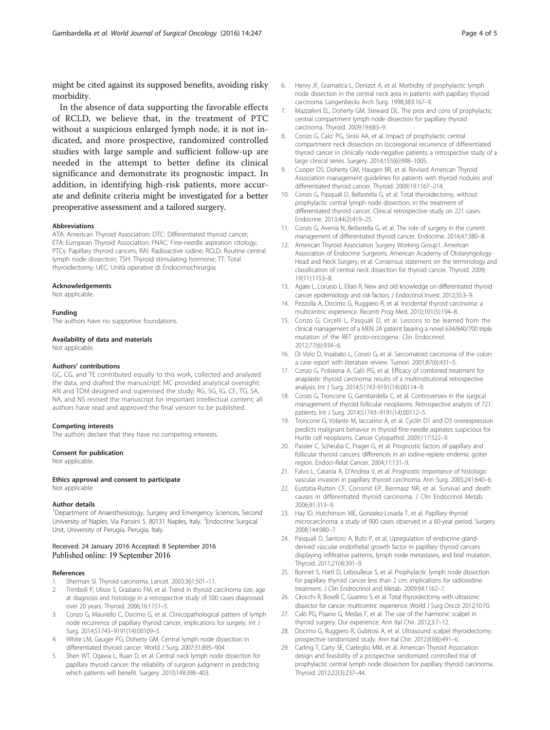<span id="page-3-0"></span>might be cited against its supposed benefits, avoiding risky morbidity.

In the absence of data supporting the favorable effects of RCLD, we believe that, in the treatment of PTC without a suspicious enlarged lymph node, it is not indicated, and more prospective, randomized controlled studies with large sample and sufficient follow-up are needed in the attempt to better define its clinical significance and demonstrate its prognostic impact. In addition, in identifying high-risk patients, more accurate and definite criteria might be investigated for a better preoperative assessment and a tailored surgery.

#### Abbreviations

ATA: American Thyroid Association; DTC: Differentiated thyroid cancer; ETA: European Thyroid Association; FNAC: Fine-needle aspiration citology; PTCs: Papillary thyroid cancers; RAI: Radioactive iodine; RCLD: Routine central lymph node dissection; TSH: Thyroid stimulating hormone; TT: Total thyroidectomy; UEC: Unità operative di Endocrinochirurgia;

#### Acknowledgements

Not applicable.

#### Funding

The authors have no supportive foundations.

#### Availability of data and materials

Not applicable.

#### Authors' contributions

GC, CG, and TE contributed equally to this work, collected and analyzed the data, and drafted the manuscript; MC provided analytical oversight; AN and TDM designed and supervised the study; RG, SG, IG, CF, TG, SA, NA, and NS revised the manuscript for important intellectual content; all authors have read and approved the final version to be published.

#### Competing interests

The authors declare that they have no competing interests.

#### Consent for publication

Not applicable.

#### Ethics approval and consent to participate

Not applicable.

#### Author details

<sup>1</sup>Department of Anaesthesiology, Surgery and Emergency Sciences, Second University of Naples, Via Pansini 5, 80131 Naples, Italy. <sup>2</sup>Endocrine Surgical Unit, University of Perugia, Perugia, Italy.

### Received: 24 January 2016 Accepted: 8 September 2016 Published online: 19 September 2016

#### References

- 1. Sherman SI. Thyroid carcinoma. Lancet. 2003;361:501–11.
- Trimboli P, Ulisse S, Graziano FM, et al. Trend in thyroid carcinoma size, age at diagnosis and histology in a retrospective study of 500 cases diagnosed over 20 years. Thyroid. 2006;16:1151–5.
- 3. Conzo G, Mauriello C, Docimo G, et al. Clinicopathological pattern of lymph node recurrence of papillary thyroid cancer, implications for surgery. Int J Surg. 2014;S1743–9191(14):00109–5.
- 4. White LM, Gauger PG, Doherty GM. Central lymph node dissection in differentiated thyroid cancer. World J Surg. 2007;31:895–904.
- 5. Shen WT, Ogawa L, Ruan D, et al. Central neck lymph node dissection for papillary thyroid cancer: the reliability of surgeon judgment in predicting which patients will benefit. Surgery. 2010;148:398–403.
- 6. Henry JF, Gramatica L, Denizot A, et al. Morbidity of prophylactic lymph node dissection in the central neck area in patients with papillary thyroid carcinoma. Langenbecks Arch Surg. 1998;383:167–9.
- 7. Mazzaferri EL, Doherty GM, Steward DL. The pros and cons of prophylactic central compartment lymph node dissection for papillary thyroid carcinoma. Thyroid. 2009;19:683–9.
- Conzo G, Calo' PG, Sinisi AA, et al. Impact of prophylactic central compartment neck dissection on locoregional recurrence of differentiated thyroid cancer in clinically node-negative patients: a retrospective study of a large clinical series. Surgery. 2014;155(6):998–1005.
- 9. Cooper DS, Doherty GM, Haugen BR, et al. Revised American Thyroid Association management guidelines for patients with thyroid nodules and differentiated thyroid cancer. Thyroid. 2009;19:1167–214.
- 10. Conzo G, Pasquali D, Bellastella G, et al. Total thyroidectomy, without prophylactic central lymph node dissection, in the treatment of differentiated thyroid cancer. Clinical retrospective study on 221 cases. Endocrine. 2013;44(2):419–25.
- 11. Conzo G, Avenia N, Bellastella G, et al. The role of surgery in the current management of differentiated thyroid cancer. Endocrine. 2014;47:380–8.
- 12. American Thyroid Association Surgery Working Group1. American Association of Endocrine Surgeons, American Academy of Otolaryngology-Head and Neck Surgery, et al. Consensus statement on the terminology and classification of central neck dissection for thyroid cancer. Thyroid. 2009; 19(11):1153–8.
- 13. Agate L, Lorusso L, Elisei R. New and old knowledge on differentiated thyroid cancer epidemiology and risk factors. J Endocrinol Invest. 2012;35:3–9.
- 14. Pezzolla A, Docimo G, Ruggiero R, et al. Incidental thyroid carcinoma: a multicentric experience. Recenti Prog Med. 2010;101(5):194–8.
- 15. Conzo G, Circelli L, Pasquali D, et al. Lessons to be learned from the clinical management of a MEN 2A patient bearing a novel 634/640/700 triple mutation of the RET proto-oncogene. Clin Endocrinol. 2012;77(6):934–6.
- 16. Di Vizio D, Insabato L, Conzo G, et al. Sarcomatoid carcinoma of the colon: a case report with literature review. Tumori. 2001;87(6):431–5.
- 17. Conzo G, Polistena A, Calò PG, et al. Efficacy of combined treatment for anaplastic thyroid carcinoma: results of a multinstitutional retrospective analysis. Int J Surg. 2014;S1743-9191(14):00114–9.
- 18. Conzo G, Troncone G, Gambardella C, et al. Controversies in the surgical management of thyroid follicular neoplasms. Retrospective analysis of 721 patients. Int J Surg. 2014;S1743–9191(14):00112–5.
- 19. Troncone G, Volante M, Iaccarino A, et al. Cyclin D1 and D3 overexpression predicts malignant behavior in thyroid fine-needle aspirates suspicious for Hurtle cell neoplasms. Cancer Cytopathol. 2009;117:522–9.
- 20. Passler C, Scheuba C, Prager G, et al. Prognostic factors of papillary and follicular thyroid cancers: differences in an iodine-replete endemic goiter region. Endocr-Relat Cancer. 2004;11:131–9.
- 21. Falvo L, Catania A, D'Andrea V, et al. Prognostic importance of histologic vascular invasion in papillary thyroid carcinoma. Ann Surg. 2005;241:640–6.
- 22. Eustatia-Rutten CF, Corssmit EP, Biermasz NR, et al. Survival and death causes in differentiated thyroid carcinoma. J Clin Endocrinol Metab. 2006;91:313–9.
- 23. Hay ID, Hutchinson ME, Gonzalez-Losada T, et al. Papillary thyroid microcarcinoma: a study of 900 cases observed in a 60-year period. Surgery. 2008;144:980–7.
- 24. Pasquali D, Santoro A, Bufo P, et al. Upregulation of endocrine glandderived vascular endothelial growth factor in papillary thyroid cancers displaying infiltrative patterns, lymph node metastases, and braf mutation. Thyroid. 2011;21(4):391–9.
- 25. Bonnet S, Hartl D, Leboulleux S, et al. Prophylactic lymph node dissection for papillary thyroid cancer less than 2 cm: implications for radioiodine treatment. J Clin Endrocrinol and Metab. 2009;94:1162–7.
- 26. Cirocchi R, Boselli C, Guarino S, et al. Total thyroidectomy with ultrasonic dissector for cancer: multicentric experience. World J Surg Oncol. 2012;10:70.
- 27. Calò PG, Pisano G, Medas F, et al. The use of the harmonic scalpel in thyroid surgery. Our experience. Ann Ital Chir. 2012;3:7–12.
- 28. Docimo G, Ruggiero R, Gubitosi A, et al. Ultrasound scalpel thyroidectomy: prospective randomized study. Ann Ital Chir. 2012;83(6):491–6.
- 29. Carling T, Carty SE, Ciarleglio MM, et al. American Thyroid Association design and feasibility of a prospective randomized controlled trial of prophylactic central lymph node dissection for papillary thyroid carcinoma. Thyroid. 2012;22(3):237–44.